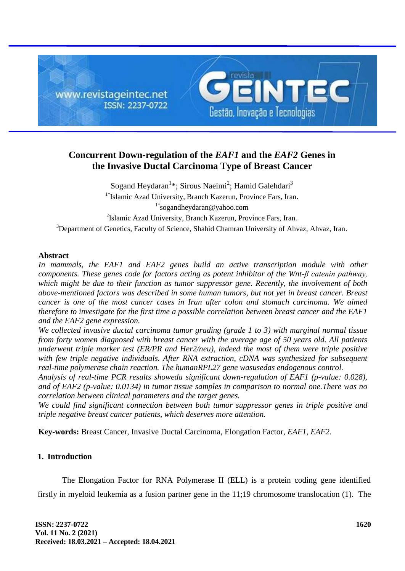

# **Concurrent Down-regulation of the** *EAF1* **and the** *EAF2* **Genes in the Invasive Ductal Carcinoma Type of Breast Cancer**

Sogand Heydaran<sup>1\*</sup>; Sirous Naeimi<sup>2</sup>; Hamid Galehdari<sup>3</sup> 1\* Islamic Azad University, Branch Kazerun, Province Fars, Iran. 1\*sogandheydaran@yahoo.com

<sup>2</sup>Islamic Azad University, Branch Kazerun, Province Fars, Iran.

<sup>3</sup>Department of Genetics, Faculty of Science, Shahid Chamran University of Ahvaz, Ahvaz, Iran.

#### **Abstract**

In mammals, the EAF1 and EAF2 genes build an active transcription module with other *components. These genes code for factors acting as potent inhibitor of the Wnt-β catenin pathway, which might be due to their function as tumor suppressor gene. Recently, the involvement of both above-mentioned factors was described in some human tumors, but not yet in breast cancer. Breast cancer is one of the most cancer cases in Iran after colon and stomach carcinoma. We aimed therefore to investigate for the first time a possible correlation between breast cancer and the EAF1 and the EAF2 gene expression.*

*We collected invasive ductal carcinoma tumor grading (grade 1 to 3) with marginal normal tissue from forty women diagnosed with breast cancer with the average age of 50 years old. All patients underwent triple marker test (ER/PR and Her2/neu), indeed the most of them were triple positive with few triple negative individuals. After RNA extraction, cDNA was synthesized for subsequent real-time polymerase chain reaction. The humanRPL27 gene wasusedas endogenous control.*

*Analysis of real-time PCR results showeda significant down-regulation of EAF1 (p-value: 0.028), and of EAF2 (p-value: 0.0134) in tumor tissue samples in comparison to normal one.There was no correlation between clinical parameters and the target genes.*

*We could find significant connection between both tumor suppressor genes in triple positive and triple negative breast cancer patients, which deserves more attention.*

**Key-words:** Breast Cancer, Invasive Ductal Carcinoma, Elongation Factor, *EAF1*, *EAF2*.

# **1. Introduction**

The Elongation Factor for RNA Polymerase II (ELL) is a protein coding gene identified firstly in myeloid leukemia as a fusion partner gene in the 11;19 chromosome translocation (1). The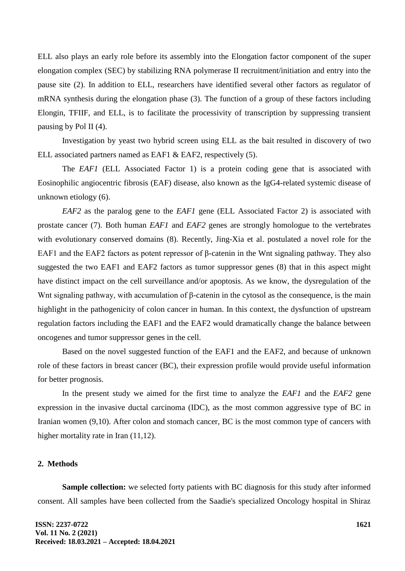ELL also plays an early role before its assembly into the Elongation factor component of the super elongation complex (SEC) by stabilizing RNA polymerase II recruitment/initiation and entry into the pause site (2). In addition to ELL, researchers have identified several other factors as regulator of mRNA synthesis during the elongation phase (3). The function of a group of these factors including Elongin, TFIIF, and ELL, is to facilitate the processivity of transcription by suppressing transient pausing by Pol II (4).

Investigation by yeast two hybrid screen using ELL as the bait resulted in discovery of two ELL associated partners named as EAF1 & EAF2, respectively (5).

The *EAF1* (ELL Associated Factor 1) is a protein coding gene that is associated with Eosinophilic angiocentric fibrosis (EAF) disease, also known as the IgG4-related systemic disease of unknown etiology (6).

*EAF2* as the paralog gene to the *EAF1* gene (ELL Associated Factor 2) is associated with prostate cancer (7). Both human *EAF1* and *EAF2* genes are strongly homologue to the vertebrates with evolutionary conserved domains (8). Recently, Jing-Xia et al. postulated a novel role for the EAF1 and the EAF2 factors as potent repressor of β-catenin in the Wnt signaling pathway. They also suggested the two EAF1 and EAF2 factors as tumor suppressor genes (8) that in this aspect might have distinct impact on the cell surveillance and/or apoptosis. As we know, the dysregulation of the Wnt signaling pathway, with accumulation of β-catenin in the cytosol as the consequence, is the main highlight in the pathogenicity of colon cancer in human. In this context, the dysfunction of upstream regulation factors including the EAF1 and the EAF2 would dramatically change the balance between oncogenes and tumor suppressor genes in the cell.

Based on the novel suggested function of the EAF1 and the EAF2, and because of unknown role of these factors in breast cancer (BC), their expression profile would provide useful information for better prognosis.

In the present study we aimed for the first time to analyze the *EAF1* and the *EAF2* gene expression in the invasive ductal carcinoma (IDC), as the most common aggressive type of BC in Iranian women (9,10). After colon and stomach cancer, BC is the most common type of cancers with higher mortality rate in Iran  $(11,12)$ .

## **2. Methods**

**Sample collection:** we selected forty patients with BC diagnosis for this study after informed consent. All samples have been collected from the Saadie's specialized Oncology hospital in Shiraz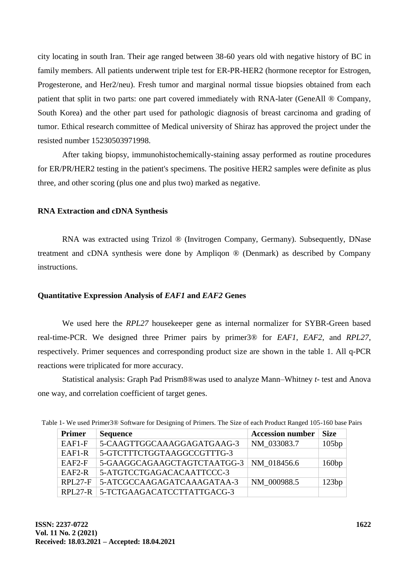city locating in south Iran. Their age ranged between 38-60 years old with negative history of BC in family members. All patients underwent triple test for ER-PR-HER2 (hormone receptor for Estrogen, Progesterone, and Her2/neu). Fresh tumor and marginal normal tissue biopsies obtained from each patient that split in two parts: one part covered immediately with RNA-later (GeneAll ® Company, South Korea) and the other part used for pathologic diagnosis of breast carcinoma and grading of tumor. Ethical research committee of Medical university of Shiraz has approved the project under the resisted number 15230503971998.

After taking biopsy, immunohistochemically-staining assay performed as routine procedures for ER/PR/HER2 testing in the patient's specimens. The positive HER2 samples were definite as plus three, and other scoring (plus one and plus two) marked as negative.

## **RNA Extraction and cDNA Synthesis**

RNA was extracted using Trizol ® (Invitrogen Company, Germany). Subsequently, DNase treatment and cDNA synthesis were done by Ampliqon ® (Denmark) as described by Company instructions.

## **Quantitative Expression Analysis of** *EAF1* **and** *EAF2* **Genes**

We used here the *RPL27* housekeeper gene as internal normalizer for SYBR-Green based real-time-PCR. We designed three Primer pairs by primer3® for *EAF1*, *EAF2*, and *RPL27*, respectively. Primer sequences and corresponding product size are shown in the table 1. All q-PCR reactions were triplicated for more accuracy.

Statistical analysis: Graph Pad Prism8®was used to analyze Mann–Whitney *t-* test and Anova one way, and correlation coefficient of target genes.

| Table 1- We used Primer3® Software for Designing of Primers. The Size of each Product Ranged 105-160 base Pairs |  |
|-----------------------------------------------------------------------------------------------------------------|--|
|-----------------------------------------------------------------------------------------------------------------|--|

| <b>Primer</b> | <b>Sequence</b>                    | <b>Accession number</b> | <b>Size</b> |
|---------------|------------------------------------|-------------------------|-------------|
| $EAF1-F$      | 5-CAAGTTGGCAAAGGAGATGAAG-3         | NM 033083.7             | 105bp       |
| $EAF1-R$      | 5-GTCTTTCTGGTAAGGCCGTTTG-3         |                         |             |
| $EAF2-F$      | 5-GAAGGCAGAAGCTAGTCTAATGG-3        | NM 018456.6             | 160bp       |
| $EAF2-R$      | 5-ATGTCCTGAGACACAATTCCC-3          |                         |             |
| $RPL27-F$     | 5-ATCGCCAAGAGATCAAAGATAA-3         | NM 000988.5             | 123bp       |
|               | RPL27-R 5-TCTGAAGACATCCTTATTGACG-3 |                         |             |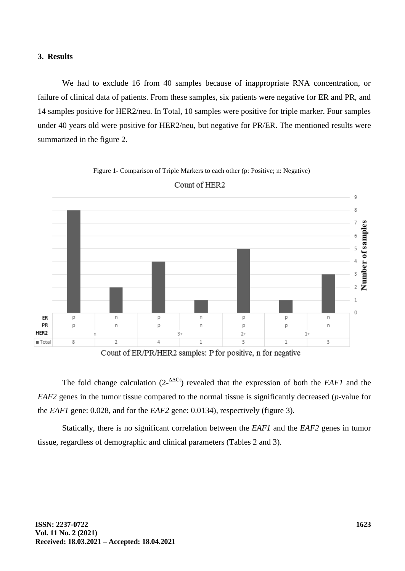#### **3. Results**

We had to exclude 16 from 40 samples because of inappropriate RNA concentration, or failure of clinical data of patients. From these samples, six patients were negative for ER and PR, and 14 samples positive for HER2/neu. In Total, 10 samples were positive for triple marker. Four samples under 40 years old were positive for HER2/neu, but negative for PR/ER. The mentioned results were summarized in the figure 2.



Figure 1- Comparison of Triple Markers to each other (p: Positive; n: Negative)

Count of HER2

Count of ER/PR/HER2 samples: P for positive, n for negative

The fold change calculation  $(2-\Delta\Delta\text{Ct})$  revealed that the expression of both the *EAF1* and the *EAF2* genes in the tumor tissue compared to the normal tissue is significantly decreased (*p*-value for the *EAF1* gene: 0.028, and for the *EAF2* gene: 0.0134), respectively (figure 3).

Statically, there is no significant correlation between the *EAF1* and the *EAF2* genes in tumor tissue, regardless of demographic and clinical parameters (Tables 2 and 3).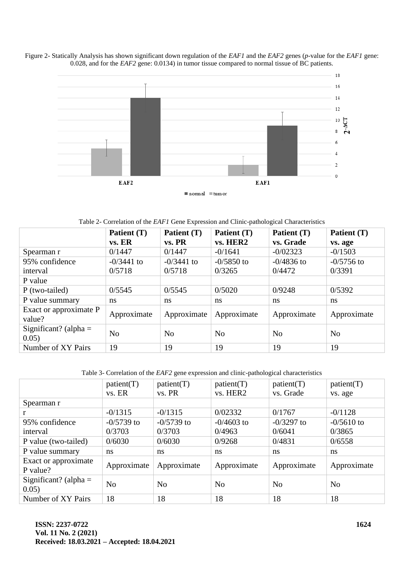



Table 2- Correlation of the *EAF1* Gene Expression and Clinic-pathological Characteristics

|                                  | Patient (T)<br>vs. ER | Patient (T)<br>vs. PR | Patient (T)<br>vs. HER2 | Patient (T)<br>vs. Grade | Patient (T)<br>vs. age |
|----------------------------------|-----------------------|-----------------------|-------------------------|--------------------------|------------------------|
| Spearman r                       | 0/1447                | 0/1447                | $-0/1641$               | $-0/02323$               | $-0/1503$              |
| 95% confidence                   | $-0/3441$ to          | $-0/3441$ to          | $-0/5850$ to            | $-0/4836$ to             | $-0/5756$ to           |
| interval                         | 0/5718                | 0/5718                | 0/3265                  | 0/4472                   | 0/3391                 |
| P value                          |                       |                       |                         |                          |                        |
| $P$ (two-tailed)                 | 0/5545                | 0/5545                | 0/5020                  | 0/9248                   | 0/5392                 |
| P value summary                  | ns                    | ns                    | ns                      | ns                       | ns                     |
| Exact or approximate P<br>value? | Approximate           | Approximate           | Approximate             | Approximate              | Approximate            |
| Significant? (alpha $=$<br>0.05) | N <sub>0</sub>        | N <sub>0</sub>        | N <sub>0</sub>          | N <sub>0</sub>           | N <sub>0</sub>         |
| Number of XY Pairs               | 19                    | 19                    | 19                      | 19                       | 19                     |

Table 3- Correlation of the *EAF2* gene expression and clinic-pathological characteristics

|                         | patient(T)     | patient(T)     | patient(T)     | patient(T)     | patient(T)     |
|-------------------------|----------------|----------------|----------------|----------------|----------------|
|                         | vs. ER         | vs. PR         | vs. HER2       | vs. Grade      | vs. age        |
| Spearman r              |                |                |                |                |                |
|                         | $-0/1315$      | $-0/1315$      | 0/02332        | 0/1767         | $-0/1128$      |
| 95% confidence          | $-0/5739$ to   | $-0/5739$ to   | $-0/4603$ to   | $-0/3297$ to   | $-0/5610$ to   |
| interval                | 0/3703         | 0/3703         | 0/4963         | 0/6041         | 0/3865         |
| P value (two-tailed)    | 0/6030         | 0/6030         | 0/9268         | 0/4831         | 0/6558         |
| P value summary         | ns             | ns             | ns             | ns             | ns             |
| Exact or approximate    |                | Approximate    | Approximate    | Approximate    | Approximate    |
| P value?                | Approximate    |                |                |                |                |
| Significant? (alpha $=$ | N <sub>0</sub> | N <sub>0</sub> | N <sub>0</sub> | N <sub>0</sub> | N <sub>o</sub> |
| 0.05)                   |                |                |                |                |                |
| Number of XY Pairs      | 18             | 18             | 18             | 18             | 18             |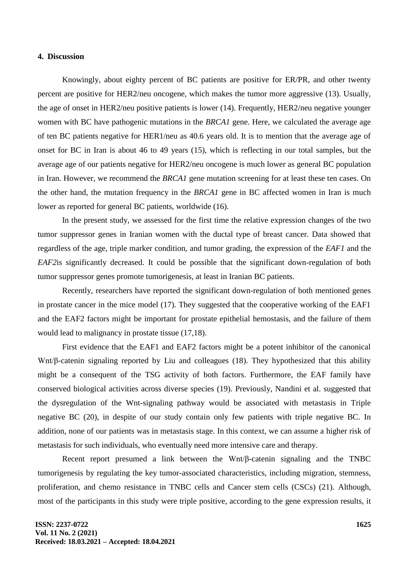#### **4. Discussion**

Knowingly, about eighty percent of BC patients are positive for ER/PR, and other twenty percent are positive for HER2/neu oncogene, which makes the tumor more aggressive (13). Usually, the age of onset in HER2/neu positive patients is lower (14). Frequently, HER2/neu negative younger women with BC have pathogenic mutations in the *BRCA1* gene. Here, we calculated the average age of ten BC patients negative for HER1/neu as 40.6 years old. It is to mention that the average age of onset for BC in Iran is about 46 to 49 years (15), which is reflecting in our total samples, but the average age of our patients negative for HER2/neu oncogene is much lower as general BC population in Iran. However, we recommend the *BRCA1* gene mutation screening for at least these ten cases. On the other hand, the mutation frequency in the *BRCA1* gene in BC affected women in Iran is much lower as reported for general BC patients, worldwide (16).

In the present study, we assessed for the first time the relative expression changes of the two tumor suppressor genes in Iranian women with the ductal type of breast cancer. Data showed that regardless of the age, triple marker condition, and tumor grading, the expression of the *EAF1* and the *EAF2*is significantly decreased. It could be possible that the significant down-regulation of both tumor suppressor genes promote tumorigenesis, at least in Iranian BC patients.

Recently, researchers have reported the significant down-regulation of both mentioned genes in prostate cancer in the mice model (17). They suggested that the cooperative working of the EAF1 and the EAF2 factors might be important for prostate epithelial hemostasis, and the failure of them would lead to malignancy in prostate tissue (17,18).

First evidence that the EAF1 and EAF2 factors might be a potent inhibitor of the canonical Wnt/β-catenin signaling reported by Liu and colleagues (18). They hypothesized that this ability might be a consequent of the TSG activity of both factors. Furthermore, the EAF family have conserved biological activities across diverse species (19). Previously, Nandini et al. suggested that the dysregulation of the Wnt-signaling pathway would be associated with metastasis in Triple negative BC (20), in despite of our study contain only few patients with triple negative BC. In addition, none of our patients was in metastasis stage. In this context, we can assume a higher risk of metastasis for such individuals, who eventually need more intensive care and therapy.

Recent report presumed a link between the Wnt/β-catenin signaling and the TNBC tumorigenesis by regulating the key tumor-associated characteristics, including migration, stemness, proliferation, and chemo resistance in TNBC cells and Cancer stem cells (CSCs) (21). Although, most of the participants in this study were triple positive, according to the gene expression results, it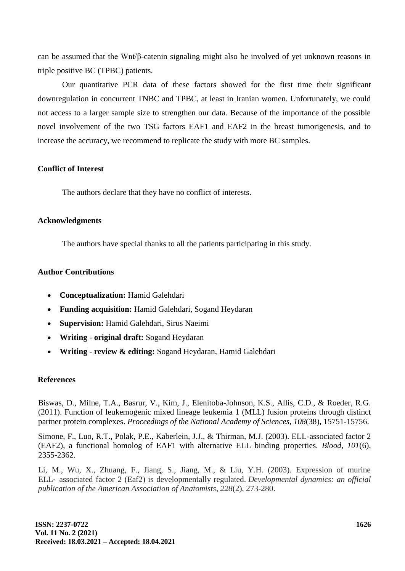can be assumed that the Wnt/β-catenin signaling might also be involved of yet unknown reasons in triple positive BC (TPBC) patients.

Our quantitative PCR data of these factors showed for the first time their significant downregulation in concurrent TNBC and TPBC, at least in Iranian women. Unfortunately, we could not access to a larger sample size to strengthen our data. Because of the importance of the possible novel involvement of the two TSG factors EAF1 and EAF2 in the breast tumorigenesis, and to increase the accuracy, we recommend to replicate the study with more BC samples.

# **Conflict of Interest**

The authors declare that they have no conflict of interests.

# **Acknowledgments**

The authors have special thanks to all the patients participating in this study.

# **Author Contributions**

- **Conceptualization:** Hamid Galehdari
- **Funding acquisition:** Hamid Galehdari, Sogand Heydaran
- **Supervision:** Hamid Galehdari, Sirus Naeimi
- **Writing - original draft:** Sogand Heydaran
- **Writing - review & editing:** Sogand Heydaran, Hamid Galehdari

## **References**

Biswas, D., Milne, T.A., Basrur, V., Kim, J., Elenitoba-Johnson, K.S., Allis, C.D., & Roeder, R.G. (2011). Function of leukemogenic mixed lineage leukemia 1 (MLL) fusion proteins through distinct partner protein complexes. *Proceedings of the National Academy of Sciences, 108*(38), 15751-15756.

Simone, F., Luo, R.T., Polak, P.E., Kaberlein, J.J., & Thirman, M.J. (2003). ELL-associated factor 2 (EAF2), a functional homolog of EAF1 with alternative ELL binding properties. *Blood, 101*(6), 2355-2362.

Li, M., Wu, X., Zhuang, F., Jiang, S., Jiang, M., & Liu, Y.H. (2003). Expression of murine ELL‐ associated factor 2 (Eaf2) is developmentally regulated. *Developmental dynamics: an official publication of the American Association of Anatomists*, *228*(2), 273-280.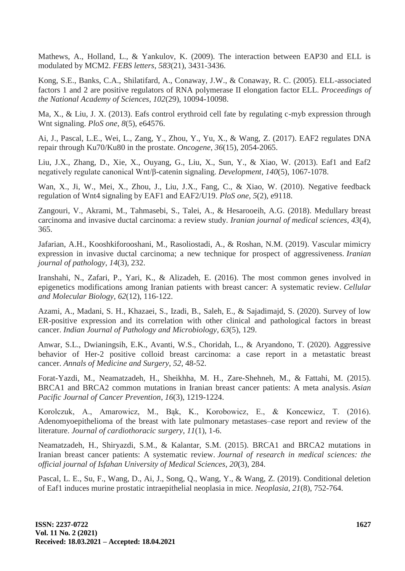Mathews, A., Holland, L., & Yankulov, K. (2009). The interaction between EAP30 and ELL is modulated by MCM2. *FEBS letters*, *583*(21), 3431-3436.

Kong, S.E., Banks, C.A., Shilatifard, A., Conaway, J.W., & Conaway, R. C. (2005). ELL-associated factors 1 and 2 are positive regulators of RNA polymerase II elongation factor ELL. *Proceedings of the National Academy of Sciences*, *102*(29), 10094-10098.

Ma, X., & Liu, J. X. (2013). Eafs control erythroid cell fate by regulating c-myb expression through Wnt signaling. *PloS one*, *8*(5), e64576.

Ai, J., Pascal, L.E., Wei, L., Zang, Y., Zhou, Y., Yu, X., & Wang, Z. (2017). EAF2 regulates DNA repair through Ku70/Ku80 in the prostate. *Oncogene*, *36*(15), 2054-2065.

Liu, J.X., Zhang, D., Xie, X., Ouyang, G., Liu, X., Sun, Y., & Xiao, W. (2013). Eaf1 and Eaf2 negatively regulate canonical Wnt/β-catenin signaling. *Development*, *140*(5), 1067-1078.

Wan, X., Ji, W., Mei, X., Zhou, J., Liu, J.X., Fang, C., & Xiao, W. (2010). Negative feedback regulation of Wnt4 signaling by EAF1 and EAF2/U19. *PloS one*, *5*(2), e9118.

Zangouri, V., Akrami, M., Tahmasebi, S., Talei, A., & Hesarooeih, A.G. (2018). Medullary breast carcinoma and invasive ductal carcinoma: a review study. *Iranian journal of medical sciences*, *43*(4), 365.

Jafarian, A.H., Kooshkiforooshani, M., Rasoliostadi, A., & Roshan, N.M. (2019). Vascular mimicry expression in invasive ductal carcinoma; a new technique for prospect of aggressiveness. *Iranian journal of pathology*, *14*(3), 232.

Iranshahi, N., Zafari, P., Yari, K., & Alizadeh, E. (2016). The most common genes involved in epigenetics modifications among Iranian patients with breast cancer: A systematic review. *Cellular and Molecular Biology*, *62*(12), 116-122.

Azami, A., Madani, S. H., Khazaei, S., Izadi, B., Saleh, E., & Sajadimajd, S. (2020). Survey of low ER-positive expression and its correlation with other clinical and pathological factors in breast cancer. *Indian Journal of Pathology and Microbiology*, *63*(5), 129.

Anwar, S.L., Dwianingsih, E.K., Avanti, W.S., Choridah, L., & Aryandono, T. (2020). Aggressive behavior of Her-2 positive colloid breast carcinoma: a case report in a metastatic breast cancer. *Annals of Medicine and Surgery*, *52*, 48-52.

Forat-Yazdi, M., Neamatzadeh, H., Sheikhha, M. H., Zare-Shehneh, M., & Fattahi, M. (2015). BRCA1 and BRCA2 common mutations in Iranian breast cancer patients: A meta analysis. *Asian Pacific Journal of Cancer Prevention*, *16*(3), 1219-1224.

Korolczuk, A., Amarowicz, M., Bąk, K., Korobowicz, E., & Koncewicz, T. (2016). Adenomyoepithelioma of the breast with late pulmonary metastases–case report and review of the literature. *Journal of cardiothoracic surgery*, *11*(1), 1-6.

Neamatzadeh, H., Shiryazdi, S.M., & Kalantar, S.M. (2015). BRCA1 and BRCA2 mutations in Iranian breast cancer patients: A systematic review. *Journal of research in medical sciences: the official journal of Isfahan University of Medical Sciences*, *20*(3), 284.

Pascal, L. E., Su, F., Wang, D., Ai, J., Song, Q., Wang, Y., & Wang, Z. (2019). Conditional deletion of Eaf1 induces murine prostatic intraepithelial neoplasia in mice. *Neoplasia*, *21*(8), 752-764.